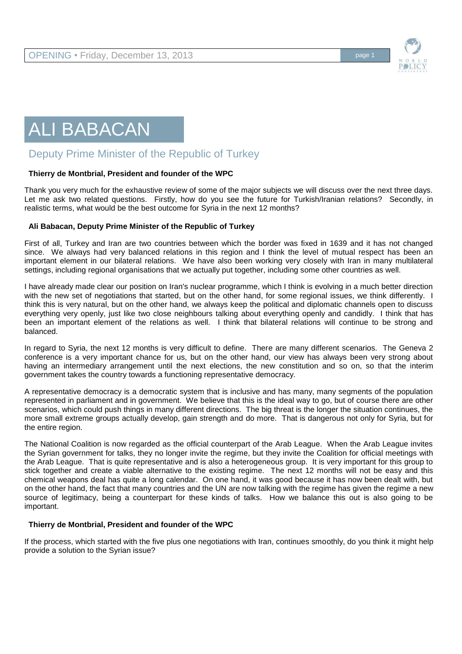

# ALI BABACAN

# Deputy Prime Minister of the Republic of Turkey

## **Thierry de Montbrial, President and founder of the WPC**

Thank you very much for the exhaustive review of some of the major subjects we will discuss over the next three days. Let me ask two related questions. Firstly, how do you see the future for Turkish/Iranian relations? Secondly, in realistic terms, what would be the best outcome for Syria in the next 12 months?

## **Ali Babacan, Deputy Prime Minister of the Republic of Turkey**

First of all, Turkey and Iran are two countries between which the border was fixed in 1639 and it has not changed since. We always had very balanced relations in this region and I think the level of mutual respect has been an important element in our bilateral relations. We have also been working very closely with Iran in many multilateral settings, including regional organisations that we actually put together, including some other countries as well.

I have already made clear our position on Iran's nuclear programme, which I think is evolving in a much better direction with the new set of negotiations that started, but on the other hand, for some regional issues, we think differently. I think this is very natural, but on the other hand, we always keep the political and diplomatic channels open to discuss everything very openly, just like two close neighbours talking about everything openly and candidly. I think that has been an important element of the relations as well. I think that bilateral relations will continue to be strong and balanced.

In regard to Syria, the next 12 months is very difficult to define. There are many different scenarios. The Geneva 2 conference is a very important chance for us, but on the other hand, our view has always been very strong about having an intermediary arrangement until the next elections, the new constitution and so on, so that the interim government takes the country towards a functioning representative democracy.

A representative democracy is a democratic system that is inclusive and has many, many segments of the population represented in parliament and in government. We believe that this is the ideal way to go, but of course there are other scenarios, which could push things in many different directions. The big threat is the longer the situation continues, the more small extreme groups actually develop, gain strength and do more. That is dangerous not only for Syria, but for the entire region.

The National Coalition is now regarded as the official counterpart of the Arab League. When the Arab League invites the Syrian government for talks, they no longer invite the regime, but they invite the Coalition for official meetings with the Arab League. That is quite representative and is also a heterogeneous group. It is very important for this group to stick together and create a viable alternative to the existing regime. The next 12 months will not be easy and this chemical weapons deal has quite a long calendar. On one hand, it was good because it has now been dealt with, but on the other hand, the fact that many countries and the UN are now talking with the regime has given the regime a new source of legitimacy, being a counterpart for these kinds of talks. How we balance this out is also going to be important.

# **Thierry de Montbrial, President and founder of the WPC**

If the process, which started with the five plus one negotiations with Iran, continues smoothly, do you think it might help provide a solution to the Syrian issue?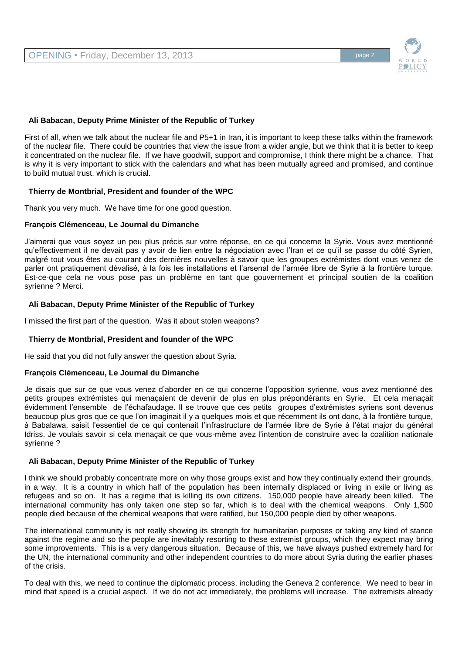

#### **Ali Babacan, Deputy Prime Minister of the Republic of Turkey**

First of all, when we talk about the nuclear file and P5+1 in Iran, it is important to keep these talks within the framework of the nuclear file. There could be countries that view the issue from a wider angle, but we think that it is better to keep it concentrated on the nuclear file. If we have goodwill, support and compromise, I think there might be a chance. That is why it is very important to stick with the calendars and what has been mutually agreed and promised, and continue to build mutual trust, which is crucial.

#### **Thierry de Montbrial, President and founder of the WPC**

Thank you very much. We have time for one good question.

#### **François Clémenceau, Le Journal du Dimanche**

J'aimerai que vous soyez un peu plus précis sur votre réponse, en ce qui concerne la Syrie. Vous avez mentionné qu'effectivement il ne devait pas y avoir de lien entre la négociation avec l'Iran et ce qu'il se passe du côté Syrien, malgré tout vous êtes au courant des dernières nouvelles à savoir que les groupes extrémistes dont vous venez de parler ont pratiquement dévalisé, à la fois les installations et l'arsenal de l'armée libre de Syrie à la frontière turque. Est-ce-que cela ne vous pose pas un problème en tant que gouvernement et principal soutien de la coalition syrienne ? Merci.

#### **Ali Babacan, Deputy Prime Minister of the Republic of Turkey**

I missed the first part of the question. Was it about stolen weapons?

#### **Thierry de Montbrial, President and founder of the WPC**

He said that you did not fully answer the question about Syria.

#### **François Clémenceau, Le Journal du Dimanche**

Je disais que sur ce que vous venez d'aborder en ce qui concerne l'opposition syrienne, vous avez mentionné des petits groupes extrémistes qui menaçaient de devenir de plus en plus prépondérants en Syrie. Et cela menaçait évidemment l'ensemble de l'échafaudage. Il se trouve que ces petits groupes d'extrémistes syriens sont devenus beaucoup plus gros que ce que l'on imaginait il y a quelques mois et que récemment ils ont donc, à la frontière turque, à Babalawa, saisit l'essentiel de ce qui contenait l'infrastructure de l'armée libre de Syrie à l'état major du général Idriss. Je voulais savoir si cela menaçait ce que vous-même avez l'intention de construire avec la coalition nationale syrienne ?

#### **Ali Babacan, Deputy Prime Minister of the Republic of Turkey**

I think we should probably concentrate more on why those groups exist and how they continually extend their grounds, in a way. It is a country in which half of the population has been internally displaced or living in exile or living as refugees and so on. It has a regime that is killing its own citizens. 150,000 people have already been killed. The international community has only taken one step so far, which is to deal with the chemical weapons. Only 1,500 people died because of the chemical weapons that were ratified, but 150,000 people died by other weapons.

The international community is not really showing its strength for humanitarian purposes or taking any kind of stance against the regime and so the people are inevitably resorting to these extremist groups, which they expect may bring some improvements. This is a very dangerous situation. Because of this, we have always pushed extremely hard for the UN, the international community and other independent countries to do more about Syria during the earlier phases of the crisis.

To deal with this, we need to continue the diplomatic process, including the Geneva 2 conference. We need to bear in mind that speed is a crucial aspect. If we do not act immediately, the problems will increase. The extremists already